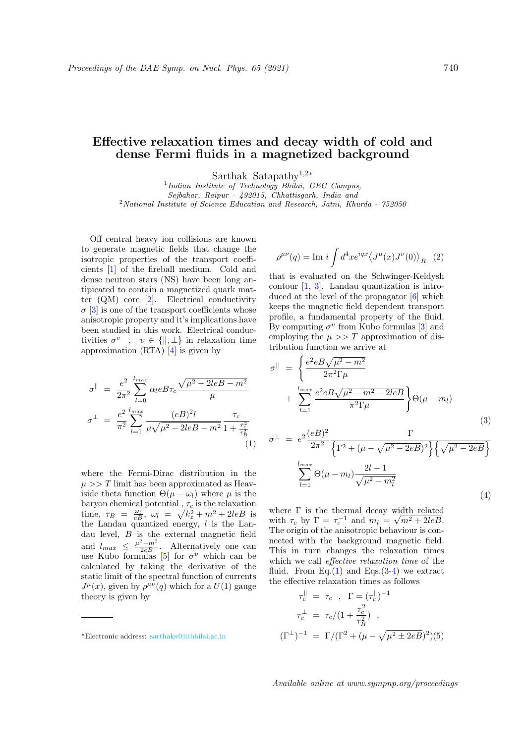## Effective relaxation times and decay width of cold and dense Fermi fluids in a magnetized background

Sarthak Satapathy<sup>1</sup>,2<sup>∗</sup>

<sup>1</sup>Indian Institute of Technology Bhilai, GEC Campus, Sejbahar, Raipur - 492015, Chhattisgarh, India and  $2$ National Institute of Science Education and Research, Jatni, Khurda -  $752050$ 

Off central heavy ion collisions are known to generate magnetic fields that change the isotropic properties of the transport coefficients [1] of the fireball medium. Cold and dense neutron stars (NS) have been long antipicated to contain a magnetized quark matter (QM) core [2]. Electrical conductivity  $\sigma$  [3] is one of the transport coefficients whose anisotropic property and it's implications have been studied in this work. Electrical conductivities  $\sigma^v$ ,  $v \in \{\parallel, \perp\}$  in relaxation time approximation (RTA) [4] is given by

$$
\sigma^{\parallel} = \frac{e^2}{2\pi^2} \sum_{l=0}^{l_{max}} \alpha_l e B \tau_c \frac{\sqrt{\mu^2 - 2leB - m^2}}{\mu}
$$

$$
\sigma^{\perp} = \frac{e^2}{\pi^2} \sum_{l=1}^{l_{max}} \frac{(eB)^2 l}{\mu \sqrt{\mu^2 - 2leB - m^2}} \frac{\tau_c}{1 + \frac{\tau_c^2}{\tau_B^2}}
$$
(1)

where the Fermi-Dirac distribution in the  $\mu >> T$  limit has been approximated as Heaviside theta function  $\Theta(\mu - \omega_l)$  where  $\mu$  is the baryon chemical potential,  $\tau_c$  is the relaxation time,  $\tau_B = \frac{\omega_l}{eB}$ ,  $\omega_l = \sqrt{k_z^2 + m^2 + 2leB}$  is the Landau quantized energy,  $l$  is the Landau level, B is the external magnetic field and  $l_{max} \leq \frac{\mu^2 - m^2}{2eB}$ . Alternatively one can use Kubo formulas [5] for  $\sigma^v$  which can be calculated by taking the derivative of the static limit of the spectral function of currents  $J^{\mu}(x)$ , given by  $\rho^{\mu\nu}(q)$  which for a  $U(1)$  gauge theory is given by

$$
\rho^{\mu\nu}(q) = \text{Im} i \int d^4x e^{iqx} \langle J^{\mu}(x)J^{\nu}(0) \rangle_{R} \quad (2)
$$

that is evaluated on the Schwinger-Keldysh contour [1, 3]. Landau quantization is introduced at the level of the propagator [6] which keeps the magnetic field dependent transport profile, a fundamental property of the fluid. By computing  $\sigma^v$  from Kubo formulas [3] and employing the  $\mu >> T$  approximation of distribution function we arrive at

$$
\sigma^{\parallel} = \left\{ \frac{e^2 e B \sqrt{\mu^2 - m^2}}{2\pi^2 \Gamma \mu} + \sum_{l=1}^{l_{max}} \frac{e^2 e B \sqrt{\mu^2 - m^2 - 2leB}}{\pi^2 \Gamma \mu} \right\} \Theta(\mu - m_l)
$$
\n
$$
\sigma^{\perp} = e^2 \frac{(eB)^2}{2} \overline{1} \overline{1} \overline{1} \overline{1} \overline{1} \overline{1} \overline{1} \overline{1} \overline{1} \overline{1} \overline{1} \overline{1} \overline{1} \overline{1} \overline{1} \overline{1} \overline{1} \overline{1} \overline{1} \overline{1} \overline{1} \overline{1} \overline{1} \overline{1} \overline{1} \overline{1} \overline{1} \overline{1} \overline{1} \overline{1} \overline{1} \overline{1} \overline{1} \overline{1} \overline{1} \overline{1} \overline{1} \overline{1} \overline{1} \overline{1} \overline{1} \overline{1} \overline{1} \overline{1} \overline{1} \overline{1} \overline{1} \overline{1} \overline{1} \overline{1} \overline{1} \overline{1} \overline{1} \overline{1} \overline{1} \overline{1} \overline{1} \overline{1} \overline{1} \overline{1} \overline{1} \overline{1} \overline{1} \overline{1} \overline{1} \overline{1} \overline{1} \overline{1} \overline{1} \overline{1} \overline{1} \overline{1} \overline{1} \overline{1} \overline{1} \overline{1} \overline{1} \overline{1} \overline{1} \overline{1} \overline{1} \overline{1} \overline{1} \overline{1} \overline{1} \overline{1} \overline{1} \overline{1} \overline{1} \overline{1} \overline{1} \overline{1} \overline{1} \overline{1} \overline{1} \overline{1} \overline{1} \overline{1} \overline{1} \overline{1} \overline{1} \overline{1} \overline{1} \overline{1} \overline{1} \over
$$

$$
\begin{split} \mathcal{L} &= e^{2} \frac{(eB)^{2}}{2\pi^{2}} \frac{1}{\left\{ \Gamma^{2} + (\mu - \sqrt{\mu^{2} - 2eB})^{2} \right\} \left\{ \sqrt{\mu^{2} - 2eB} \right\}} \\ &\sum_{l=1}^{l_{max}} \Theta(\mu - m_{l}) \frac{2l - 1}{\sqrt{\mu^{2} - m_{l}^{2}}} \end{split} \tag{4}
$$

where  $\Gamma$  is the thermal decay width related with  $\tau_c$  by  $\Gamma = \tau_c^{-1}$  and  $m_l = \sqrt{m^2 + 2leB}$ . The origin of the anisotropic behaviour is connected with the background magnetic field. This in turn changes the relaxation times which we call effective relaxation time of the fluid. From Eq.(1) and Eqs.( $3-4$ ) we extract the effective relaxation times as follows

$$
\tau_c^{\parallel} = \tau_c , \Gamma = (\tau_c^{\parallel})^{-1}
$$
  
\n
$$
\tau_c^{\perp} = \tau_c / (1 + \frac{\tau_c^2}{\tau_B^2}) ,
$$
  
\n
$$
(\Gamma^{\perp})^{-1} = \Gamma / (\Gamma^2 + (\mu - \sqrt{\mu^2 \pm 2eB})^2)(5)
$$

<sup>∗</sup>Electronic address: sarthaks@iitbhilai.ac.in